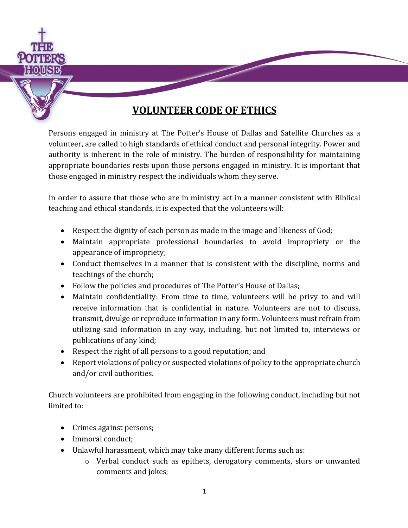

Persons engaged in ministry at The Potter's House of Dallas and Satellite Churches as a volunteer, are called to high standards of ethical conduct and personal integrity. Power and authority is inherent in the role of ministry. The burden of responsibility for maintaining appropriate boundaries rests upon those persons engaged in ministry. It is important that those engaged in ministry respect the individuals whom they serve.

In order to assure that those who are in ministry act in a manner consistent with Biblical teaching and ethical standards, it is expected that the volunteers will:

- Respect the dignity of each person as made in the image and likeness of God;
- Maintain appropriate professional boundaries to avoid impropriety or the appearance of impropriety;
- Conduct themselves in a manner that is consistent with the discipline, norms and teachings of the church;
- Follow the policies and procedures of The Potter's House of Dallas;
- Maintain confidentiality: From time to time, volunteers will be privy to and will receive information that is confidential in nature. Volunteers are not to discuss, transmit, divulge or reproduce information in any form. Volunteers must refrain from utilizing said information in any way, including, but not limited to, interviews or publications of any kind;
- Respect the right of all persons to a good reputation; and
- Report violations of policy or suspected violations of policy to the appropriate church and/or civil authorities.

Church volunteers are prohibited from engaging in the following conduct, including but not limited to:

- Crimes against persons;
- Immoral conduct:
- Unlawful harassment, which may take many different forms such as:
	- o Verbal conduct such as epithets, derogatory comments, slurs or unwanted comments and jokes;